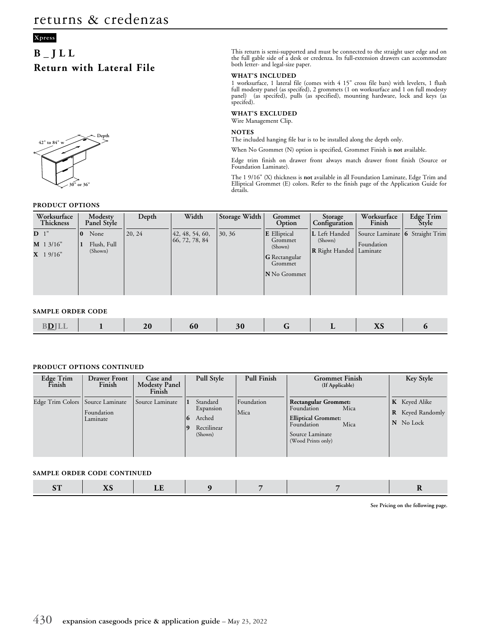# **B\_JLL Return with Lateral File**



### **PRODUCT OPTIONS**

This return is semi-supported and must be connected to the straight user edge and on the full gable side of a desk or credenza. Its full-extension drawers can accommodate both letter- and legal-size paper.

### **WHAT'S INCLUDED**

1 worksurface, 1 lateral file (comes with 4 15" cross file bars) with levelers, 1 flush full modesty panel (as specifed), 2 grommets (1 on worksurface and 1 on full modesty panel) (as specifed), pulls (as specified), mounting hardware, lock and keys (as specifed).

#### **WHAT'S EXCLUDED**

Wire Management Clip.

### **NOTES**

The included hanging file bar is to be installed along the depth only.

When No Grommet (N) option is specified, Grommet Finish is **not** available.

Edge trim finish on drawer front always match drawer front finish (Source or Foundation Laminate).

The 1 9/16" (X) thickness is **not** available in all Foundation Laminate, Edge Trim and Elliptical Grommet (E) colors. Refer to the finish page of the Application Guide for details.

| Worksurface<br>Thickness                     | Modesty<br>Panel Style                     | Depth  | Width                               | Storage Width | Grommet<br>Option                                                                            | Storage<br>Configuration                          | Worksurface<br>Finish                                       | Edge Trim<br><b>Style</b> |
|----------------------------------------------|--------------------------------------------|--------|-------------------------------------|---------------|----------------------------------------------------------------------------------------------|---------------------------------------------------|-------------------------------------------------------------|---------------------------|
| D <sup>1</sup><br>$M$ 1 3/16"<br>$X$ 1 9/16" | None<br>$\bf{0}$<br>Flush, Full<br>(Shown) | 20, 24 | 42, 48, 54, 60,<br>(66, 72, 78, 84) | 30, 36        | <b>E</b> Elliptical<br>Grommet<br>(Shown)<br><b>G</b> Rectangular<br>Grommet<br>N No Grommet | L Left Handed<br>(Shown)<br><b>R</b> Right Handed | Source Laminate   6 Straight Trim<br>Foundation<br>Laminate |                           |

#### **SAMPLE ORDER CODE**

|  | <b>DINTT</b><br>. .<br><u>— — </u> |  | $ \sim$ | ou |  |  | $\overline{\phantom{0}}$ | $-1$<br><b>ZXV</b> |  |
|--|------------------------------------|--|---------|----|--|--|--------------------------|--------------------|--|
|--|------------------------------------|--|---------|----|--|--|--------------------------|--------------------|--|

### **PRODUCT OPTIONS CONTINUED**

| Edge Trim<br>Finish                | <b>Drawer Front</b><br>Finish | Case and<br><b>Modesty Panel</b><br>Finish | Pull Style                                                     | <b>Pull Finish</b> | <b>Grommet Finish</b><br>(If Applicable)                                                                                                       | Key Style                                                    |
|------------------------------------|-------------------------------|--------------------------------------------|----------------------------------------------------------------|--------------------|------------------------------------------------------------------------------------------------------------------------------------------------|--------------------------------------------------------------|
| Edge Trim Colors   Source Laminate | Foundation<br>Laminate        | Source Laminate                            | Standard<br>Expansion<br>Arched<br>6<br>Rectilinear<br>(Shown) | Foundation<br>Mica | <b>Rectangular Grommet:</b><br>Mica<br>Foundation<br><b>Elliptical Grommet:</b><br>Mica<br>Foundation<br>Source Laminate<br>(Wood Prints only) | <b>K</b> Keyed Alike<br><b>R</b> Keyed Randomly<br>N No Lock |

### **SAMPLE ORDER CODE CONTINUED**

|--|--|--|--|

**See Pricing on the following page.**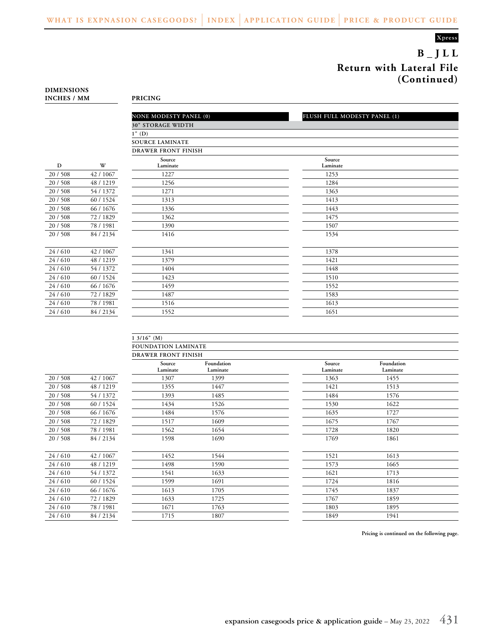**B\_JLL Return with Lateral File (Continued)**

| <b>DIMENSIONS</b>  |                |
|--------------------|----------------|
| <b>INCHES / MM</b> | <b>PRICING</b> |

|          |           | <b>NONE MODESTY PANEL (0)</b> | FLUSH FULL MODESTY PANEL (1) |
|----------|-----------|-------------------------------|------------------------------|
|          |           | <b>30" STORAGE WIDTH</b>      |                              |
|          |           | $1"$ (D)                      |                              |
|          |           | <b>SOURCE LAMINATE</b>        |                              |
|          |           | <b>DRAWER FRONT FINISH</b>    |                              |
| D        | W         | Source<br>Laminate            | Source<br>Laminate           |
| 20/508   | 42 / 1067 | 1227                          | 1253                         |
| 20 / 508 | 48 / 1219 | 1256                          | 1284                         |
| 20/508   | 54 / 1372 | 1271                          | 1363                         |
| 20 / 508 | 60 / 1524 | 1313                          | 1413                         |
| 20/508   | 66 / 1676 | 1336                          | 1443                         |
| 20 / 508 | 72 / 1829 | 1362                          | 1475                         |
| 20/508   | 78/1981   | 1390                          | 1507                         |
| 20/508   | 84/2134   | 1416                          | 1534                         |
|          |           |                               |                              |
| 24/610   | 42 / 1067 | 1341                          | 1378                         |
| 24/610   | 48 / 1219 | 1379                          | 1421                         |
| 24/610   | 54 / 1372 | 1404                          | 1448                         |
| 24/610   | 60 / 1524 | 1423                          | 1510                         |
| 24/610   | 66 / 1676 | 1459                          | 1552                         |
| 24/610   | 72/1829   | 1487                          | 1583                         |
| 24/610   | 78/1981   | 1516                          | 1613                         |
| 24/610   | 84 / 2134 | 1552                          | 1651                         |

|          |           | 13/16" (M)                 |                        |                    |                        |  |
|----------|-----------|----------------------------|------------------------|--------------------|------------------------|--|
|          |           | FOUNDATION LAMINATE        |                        |                    |                        |  |
|          |           | <b>DRAWER FRONT FINISH</b> |                        |                    |                        |  |
|          |           | Source<br>Laminate         | Foundation<br>Laminate | Source<br>Laminate | Foundation<br>Laminate |  |
| 20/508   | 42 / 1067 | 1307                       | 1399                   | 1363               | 1455                   |  |
| 20/508   | 48 / 1219 | 1355                       | 1447                   | 1421               | 1513                   |  |
| 20 / 508 | 54 / 1372 | 1393                       | 1485                   | 1484               | 1576                   |  |
| 20 / 508 | 60 / 1524 | 1434                       | 1526                   | 1530               | 1622                   |  |
| 20/508   | 66 / 1676 | 1484                       | 1576                   | 1635               | 1727                   |  |
| 20/508   | 72/1829   | 1517                       | 1609                   | 1675               | 1767                   |  |
| 20 / 508 | 78 / 1981 | 1562                       | 1654                   | 1728               | 1820                   |  |
| 20/508   | 84 / 2134 | 1598                       | 1690                   | 1769               | 1861                   |  |
| 24/610   | 42 / 1067 | 1452                       | 1544                   | 1521               | 1613                   |  |
| 24/610   | 48 / 1219 | 1498                       | 1590                   | 1573               | 1665                   |  |
| 24/610   | 54 / 1372 | 1541                       | 1633                   | 1621               | 1713                   |  |
| 24/610   | 60 / 1524 | 1599                       | 1691                   | 1724               | 1816                   |  |
| 24/610   | 66 / 1676 | 1613                       | 1705                   | 1745               | 1837                   |  |
| 24/610   | 72/1829   | 1633                       | 1725                   | 1767               | 1859                   |  |
| 24/610   | 78 / 1981 | 1671                       | 1763                   | 1803               | 1895                   |  |
| 24/610   | 84 / 2134 | 1715                       | 1807                   | 1849               | 1941                   |  |

**Pricing is continued on the following page.**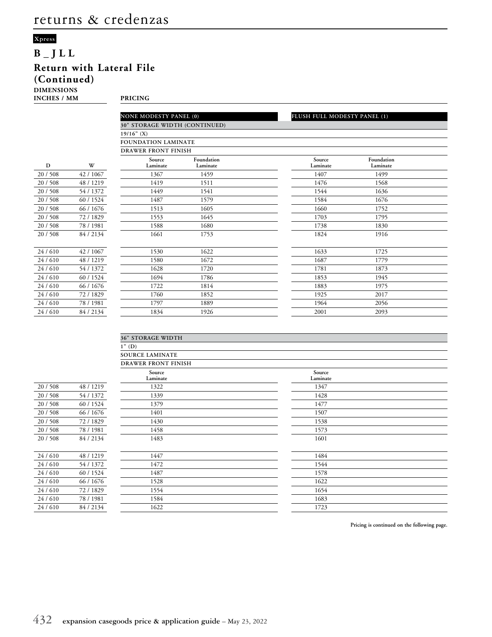# **B\_JLL Return with Lateral File (Continued)**

**DIMENSIONS**

**INCHES / MM PRICING**

|          |           | <b>NONE MODESTY PANEL (0)</b>        |                        | FLUSH FULL MODESTY PANEL (1) |                        |
|----------|-----------|--------------------------------------|------------------------|------------------------------|------------------------|
|          |           | <b>30" STORAGE WIDTH (CONTINUED)</b> |                        |                              |                        |
|          |           | $19/16"$ (X)                         |                        |                              |                        |
|          |           |                                      |                        |                              |                        |
|          |           | <b>FOUNDATION LAMINATE</b>           |                        |                              |                        |
|          |           | <b>DRAWER FRONT FINISH</b>           |                        |                              |                        |
| D        | W         | Source<br>Laminate                   | Foundation<br>Laminate | Source<br>Laminate           | Foundation<br>Laminate |
| 20 / 508 | 42 / 1067 | 1367                                 | 1459                   | 1407                         | 1499                   |
| 20 / 508 | 48 / 1219 | 1419                                 | 1511                   | 1476                         | 1568                   |
| 20/508   | 54 / 1372 | 1449                                 | 1541                   | 1544                         | 1636                   |
| 20 / 508 | 60 / 1524 | 1487                                 | 1579                   | 1584                         | 1676                   |
| 20/508   | 66 / 1676 | 1513                                 | 1605                   | 1660                         | 1752                   |
| 20 / 508 | 72/1829   | 1553                                 | 1645                   | 1703                         | 1795                   |
| 20/508   | 78 / 1981 | 1588                                 | 1680                   | 1738                         | 1830                   |
| 20 / 508 | 84 / 2134 | 1661                                 | 1753                   | 1824                         | 1916                   |
| 24/610   | 42 / 1067 | 1530                                 | 1622                   | 1633                         | 1725                   |
| 24/610   | 48 / 1219 | 1580                                 | 1672                   | 1687                         | 1779                   |
| 24/610   | 54 / 1372 | 1628                                 | 1720                   | 1781                         | 1873                   |
| 24/610   | 60 / 1524 | 1694                                 | 1786                   | 1853                         | 1945                   |
| 24/610   | 66 / 1676 | 1722                                 | 1814                   | 1883                         | 1975                   |
| 24/610   | 72/1829   | 1760                                 | 1852                   | 1925                         | 2017                   |
| 24/610   | 78 / 1981 | 1797                                 | 1889                   | 1964                         | 2056                   |
| 24/610   | 84 / 2134 | 1834                                 | 1926                   | 2001                         | 2093                   |

|          |           | <b>36" STORAGE WIDTH</b>   |                    |  |
|----------|-----------|----------------------------|--------------------|--|
|          |           | $1"$ (D)                   |                    |  |
|          |           | <b>SOURCE LAMINATE</b>     |                    |  |
|          |           | <b>DRAWER FRONT FINISH</b> |                    |  |
|          |           | Source<br>Laminate         | Source<br>Laminate |  |
| 20 / 508 | 48 / 1219 | 1322                       | 1347               |  |
| 20 / 508 | 54 / 1372 | 1339                       | 1428               |  |
| 20 / 508 | 60 / 1524 | 1379                       | 1477               |  |
| 20 / 508 | 66 / 1676 | 1401                       | 1507               |  |
| 20/508   | 72 / 1829 | 1430                       | 1538               |  |
| 20 / 508 | 78 / 1981 | 1458                       | 1573               |  |
| 20/508   | 84 / 2134 | 1483                       | 1601               |  |
|          |           |                            |                    |  |
| 24/610   | 48 / 1219 | 1447                       | 1484               |  |
| 24/610   | 54 / 1372 | 1472                       | 1544               |  |
| 24/610   | 60 / 1524 | 1487                       | 1578               |  |
| 24/610   | 66 / 1676 | 1528                       | 1622               |  |
| 24/610   | 72 / 1829 | 1554                       | 1654               |  |
| 24/610   | 78 / 1981 | 1584                       | 1683               |  |
| 24/610   | 84 / 2134 | 1622                       | 1723               |  |
|          |           |                            |                    |  |

**Pricing is continued on the following page.**